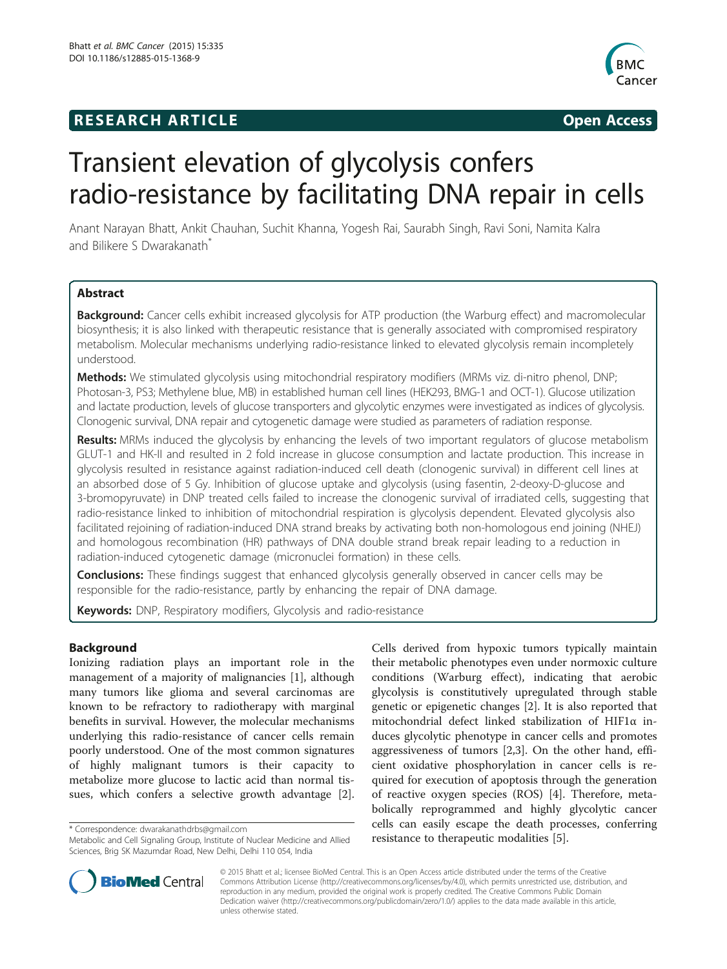## **RESEARCH ARTICLE Example 2014 The SEAR CH ACCESS**



# Transient elevation of glycolysis confers radio-resistance by facilitating DNA repair in cells

Anant Narayan Bhatt, Ankit Chauhan, Suchit Khanna, Yogesh Rai, Saurabh Singh, Ravi Soni, Namita Kalra and Bilikere S Dwarakanath<sup>\*</sup>

## Abstract

Background: Cancer cells exhibit increased glycolysis for ATP production (the Warburg effect) and macromolecular biosynthesis; it is also linked with therapeutic resistance that is generally associated with compromised respiratory metabolism. Molecular mechanisms underlying radio-resistance linked to elevated glycolysis remain incompletely understood.

Methods: We stimulated glycolysis using mitochondrial respiratory modifiers (MRMs viz. di-nitro phenol, DNP; Photosan-3, PS3; Methylene blue, MB) in established human cell lines (HEK293, BMG-1 and OCT-1). Glucose utilization and lactate production, levels of glucose transporters and glycolytic enzymes were investigated as indices of glycolysis. Clonogenic survival, DNA repair and cytogenetic damage were studied as parameters of radiation response.

Results: MRMs induced the glycolysis by enhancing the levels of two important regulators of glucose metabolism GLUT-1 and HK-II and resulted in 2 fold increase in glucose consumption and lactate production. This increase in glycolysis resulted in resistance against radiation-induced cell death (clonogenic survival) in different cell lines at an absorbed dose of 5 Gy. Inhibition of glucose uptake and glycolysis (using fasentin, 2-deoxy-D-glucose and 3-bromopyruvate) in DNP treated cells failed to increase the clonogenic survival of irradiated cells, suggesting that radio-resistance linked to inhibition of mitochondrial respiration is glycolysis dependent. Elevated glycolysis also facilitated rejoining of radiation-induced DNA strand breaks by activating both non-homologous end joining (NHEJ) and homologous recombination (HR) pathways of DNA double strand break repair leading to a reduction in radiation-induced cytogenetic damage (micronuclei formation) in these cells.

**Conclusions:** These findings suggest that enhanced glycolysis generally observed in cancer cells may be responsible for the radio-resistance, partly by enhancing the repair of DNA damage.

Keywords: DNP, Respiratory modifiers, Glycolysis and radio-resistance

## Background

Ionizing radiation plays an important role in the management of a majority of malignancies [[1\]](#page-10-0), although many tumors like glioma and several carcinomas are known to be refractory to radiotherapy with marginal benefits in survival. However, the molecular mechanisms underlying this radio-resistance of cancer cells remain poorly understood. One of the most common signatures of highly malignant tumors is their capacity to metabolize more glucose to lactic acid than normal tissues, which confers a selective growth advantage [\[2](#page-10-0)].

Cells derived from hypoxic tumors typically maintain their metabolic phenotypes even under normoxic culture conditions (Warburg effect), indicating that aerobic glycolysis is constitutively upregulated through stable genetic or epigenetic changes [\[2](#page-10-0)]. It is also reported that mitochondrial defect linked stabilization of HIF1α induces glycolytic phenotype in cancer cells and promotes aggressiveness of tumors [\[2,3](#page-10-0)]. On the other hand, efficient oxidative phosphorylation in cancer cells is required for execution of apoptosis through the generation of reactive oxygen species (ROS) [[4\]](#page-10-0). Therefore, metabolically reprogrammed and highly glycolytic cancer cells can easily escape the death processes, conferring \* Correspondence: [dwarakanathdrbs@gmail.com](mailto:dwarakanathdrbs@gmail.com)<br>Metabolic and Cell Signaling Group, Institute of Nuclear Medicine and Allied **Fresistance to therapeutic modalities** [[5\]](#page-10-0).



© 2015 Bhatt et al.; licensee BioMed Central. This is an Open Access article distributed under the terms of the Creative Commons Attribution License [\(http://creativecommons.org/licenses/by/4.0\)](http://creativecommons.org/licenses/by/4.0), which permits unrestricted use, distribution, and reproduction in any medium, provided the original work is properly credited. The Creative Commons Public Domain Dedication waiver [\(http://creativecommons.org/publicdomain/zero/1.0/](http://creativecommons.org/publicdomain/zero/1.0/)) applies to the data made available in this article, unless otherwise stated.

Sciences, Brig SK Mazumdar Road, New Delhi, Delhi 110 054, India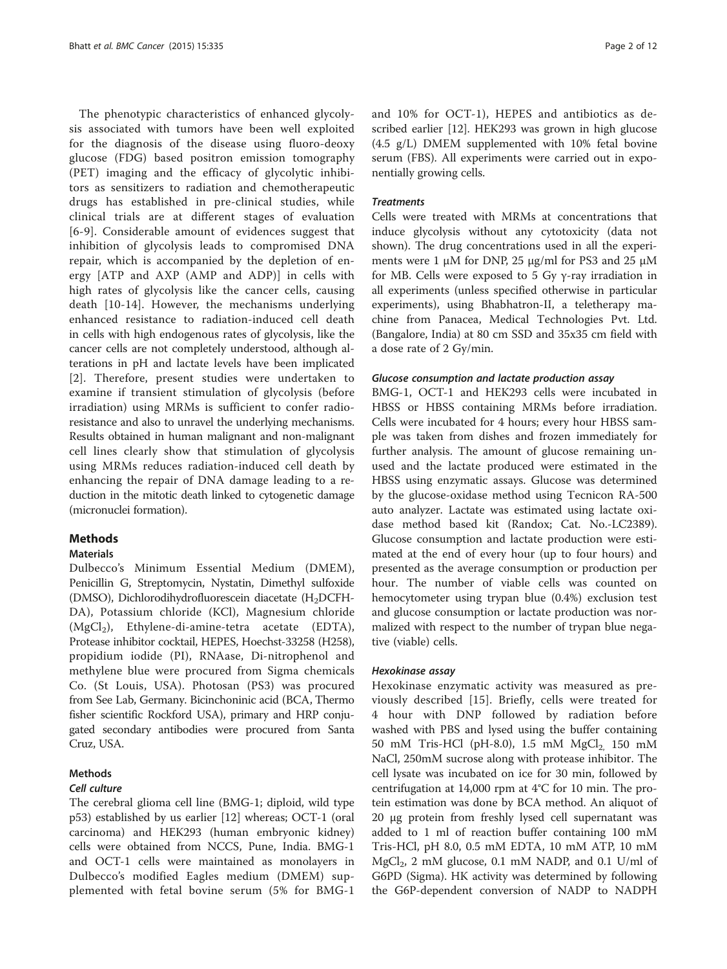The phenotypic characteristics of enhanced glycolysis associated with tumors have been well exploited for the diagnosis of the disease using fluoro-deoxy glucose (FDG) based positron emission tomography (PET) imaging and the efficacy of glycolytic inhibitors as sensitizers to radiation and chemotherapeutic drugs has established in pre-clinical studies, while clinical trials are at different stages of evaluation [[6](#page-10-0)-[9\]](#page-10-0). Considerable amount of evidences suggest that inhibition of glycolysis leads to compromised DNA repair, which is accompanied by the depletion of energy [ATP and AXP (AMP and ADP)] in cells with high rates of glycolysis like the cancer cells, causing death [[10-14\]](#page-10-0). However, the mechanisms underlying enhanced resistance to radiation-induced cell death in cells with high endogenous rates of glycolysis, like the cancer cells are not completely understood, although alterations in pH and lactate levels have been implicated [[2](#page-10-0)]. Therefore, present studies were undertaken to examine if transient stimulation of glycolysis (before irradiation) using MRMs is sufficient to confer radioresistance and also to unravel the underlying mechanisms. Results obtained in human malignant and non-malignant cell lines clearly show that stimulation of glycolysis using MRMs reduces radiation-induced cell death by enhancing the repair of DNA damage leading to a reduction in the mitotic death linked to cytogenetic damage (micronuclei formation).

## **Methods**

#### **Materials**

Dulbecco's Minimum Essential Medium (DMEM), Penicillin G, Streptomycin, Nystatin, Dimethyl sulfoxide (DMSO), Dichlorodihydrofluorescein diacetate  $(H<sub>2</sub>DCFH-$ DA), Potassium chloride (KCl), Magnesium chloride  $(MgCl<sub>2</sub>)$ , Ethylene-di-amine-tetra acetate (EDTA), Protease inhibitor cocktail, HEPES, Hoechst-33258 (H258), propidium iodide (PI), RNAase, Di-nitrophenol and methylene blue were procured from Sigma chemicals Co. (St Louis, USA). Photosan (PS3) was procured from See Lab, Germany. Bicinchoninic acid (BCA, Thermo fisher scientific Rockford USA), primary and HRP conjugated secondary antibodies were procured from Santa Cruz, USA.

## Methods

## Cell culture

The cerebral glioma cell line (BMG-1; diploid, wild type p53) established by us earlier [\[12](#page-10-0)] whereas; OCT-1 (oral carcinoma) and HEK293 (human embryonic kidney) cells were obtained from NCCS, Pune, India. BMG-1 and OCT-1 cells were maintained as monolayers in Dulbecco's modified Eagles medium (DMEM) supplemented with fetal bovine serum (5% for BMG-1

and 10% for OCT-1), HEPES and antibiotics as described earlier [\[12\]](#page-10-0). HEK293 was grown in high glucose (4.5 g/L) DMEM supplemented with 10% fetal bovine serum (FBS). All experiments were carried out in exponentially growing cells.

## **Treatments**

Cells were treated with MRMs at concentrations that induce glycolysis without any cytotoxicity (data not shown). The drug concentrations used in all the experiments were 1 μM for DNP, 25 μg/ml for PS3 and 25 μM for MB. Cells were exposed to 5 Gy γ-ray irradiation in all experiments (unless specified otherwise in particular experiments), using Bhabhatron-II, a teletherapy machine from Panacea, Medical Technologies Pvt. Ltd. (Bangalore, India) at 80 cm SSD and 35x35 cm field with a dose rate of 2 Gy/min.

#### Glucose consumption and lactate production assay

BMG-1, OCT-1 and HEK293 cells were incubated in HBSS or HBSS containing MRMs before irradiation. Cells were incubated for 4 hours; every hour HBSS sample was taken from dishes and frozen immediately for further analysis. The amount of glucose remaining unused and the lactate produced were estimated in the HBSS using enzymatic assays. Glucose was determined by the glucose-oxidase method using Tecnicon RA-500 auto analyzer. Lactate was estimated using lactate oxidase method based kit (Randox; Cat. No.-LC2389). Glucose consumption and lactate production were estimated at the end of every hour (up to four hours) and presented as the average consumption or production per hour. The number of viable cells was counted on hemocytometer using trypan blue (0.4%) exclusion test and glucose consumption or lactate production was normalized with respect to the number of trypan blue negative (viable) cells.

#### Hexokinase assay

Hexokinase enzymatic activity was measured as previously described [[15\]](#page-10-0). Briefly, cells were treated for 4 hour with DNP followed by radiation before washed with PBS and lysed using the buffer containing 50 mM Tris-HCl (pH-8.0), 1.5 mM  $MgCl<sub>2</sub>$  150 mM NaCl, 250mM sucrose along with protease inhibitor. The cell lysate was incubated on ice for 30 min, followed by centrifugation at 14,000 rpm at 4°C for 10 min. The protein estimation was done by BCA method. An aliquot of 20 μg protein from freshly lysed cell supernatant was added to 1 ml of reaction buffer containing 100 mM Tris-HCl, pH 8.0, 0.5 mM EDTA, 10 mM ATP, 10 mM  $MgCl<sub>2</sub>$ , 2 mM glucose, 0.1 mM NADP, and 0.1 U/ml of G6PD (Sigma). HK activity was determined by following the G6P-dependent conversion of NADP to NADPH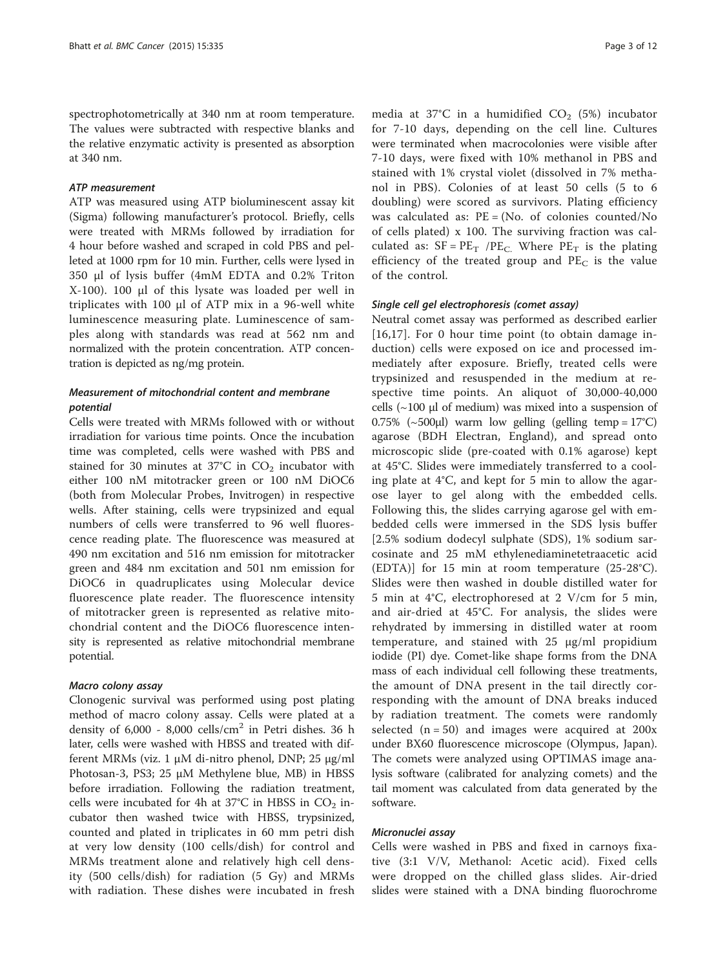spectrophotometrically at 340 nm at room temperature. The values were subtracted with respective blanks and the relative enzymatic activity is presented as absorption at 340 nm.

#### ATP measurement

ATP was measured using ATP bioluminescent assay kit (Sigma) following manufacturer's protocol. Briefly, cells were treated with MRMs followed by irradiation for 4 hour before washed and scraped in cold PBS and pelleted at 1000 rpm for 10 min. Further, cells were lysed in 350 μl of lysis buffer (4mM EDTA and 0.2% Triton X-100). 100 μl of this lysate was loaded per well in triplicates with 100 μl of ATP mix in a 96-well white luminescence measuring plate. Luminescence of samples along with standards was read at 562 nm and normalized with the protein concentration. ATP concentration is depicted as ng/mg protein.

## Measurement of mitochondrial content and membrane potential

Cells were treated with MRMs followed with or without irradiation for various time points. Once the incubation time was completed, cells were washed with PBS and stained for 30 minutes at 37°C in  $CO<sub>2</sub>$  incubator with either 100 nM mitotracker green or 100 nM DiOC6 (both from Molecular Probes, Invitrogen) in respective wells. After staining, cells were trypsinized and equal numbers of cells were transferred to 96 well fluorescence reading plate. The fluorescence was measured at 490 nm excitation and 516 nm emission for mitotracker green and 484 nm excitation and 501 nm emission for DiOC6 in quadruplicates using Molecular device fluorescence plate reader. The fluorescence intensity of mitotracker green is represented as relative mitochondrial content and the DiOC6 fluorescence intensity is represented as relative mitochondrial membrane potential.

## Macro colony assay

Clonogenic survival was performed using post plating method of macro colony assay. Cells were plated at a density of 6,000 - 8,000 cells/cm<sup>2</sup> in Petri dishes. 36 h later, cells were washed with HBSS and treated with different MRMs (viz. 1 μM di-nitro phenol, DNP; 25 μg/ml Photosan-3, PS3; 25 μM Methylene blue, MB) in HBSS before irradiation. Following the radiation treatment, cells were incubated for 4h at 37 $\degree$ C in HBSS in CO<sub>2</sub> incubator then washed twice with HBSS, trypsinized, counted and plated in triplicates in 60 mm petri dish at very low density (100 cells/dish) for control and MRMs treatment alone and relatively high cell density (500 cells/dish) for radiation (5 Gy) and MRMs with radiation. These dishes were incubated in fresh

media at 37°C in a humidified  $CO<sub>2</sub>$  (5%) incubator for 7-10 days, depending on the cell line. Cultures were terminated when macrocolonies were visible after 7-10 days, were fixed with 10% methanol in PBS and stained with 1% crystal violet (dissolved in 7% methanol in PBS). Colonies of at least 50 cells (5 to 6 doubling) were scored as survivors. Plating efficiency was calculated as:  $PE = (No. of colonies counted/No)$ of cells plated) x 100. The surviving fraction was calculated as:  $SF = PE_T$  /PE<sub>C</sub>. Where PE<sub>T</sub> is the plating efficiency of the treated group and  $PE<sub>C</sub>$  is the value of the control.

## Single cell gel electrophoresis (comet assay)

Neutral comet assay was performed as described earlier [[16,17\]](#page-10-0). For 0 hour time point (to obtain damage induction) cells were exposed on ice and processed immediately after exposure. Briefly, treated cells were trypsinized and resuspended in the medium at respective time points. An aliquot of 30,000-40,000 cells ( $\sim$ 100 μl of medium) was mixed into a suspension of 0.75% ( $\sim$ 500 $\mu$ l) warm low gelling (gelling temp = 17°C) agarose (BDH Electran, England), and spread onto microscopic slide (pre-coated with 0.1% agarose) kept at 45°C. Slides were immediately transferred to a cooling plate at 4°C, and kept for 5 min to allow the agarose layer to gel along with the embedded cells. Following this, the slides carrying agarose gel with embedded cells were immersed in the SDS lysis buffer [2.5% sodium dodecyl sulphate (SDS), 1% sodium sarcosinate and 25 mM ethylenediaminetetraacetic acid (EDTA)] for 15 min at room temperature (25-28°C). Slides were then washed in double distilled water for 5 min at 4°C, electrophoresed at 2 V/cm for 5 min, and air-dried at 45°C. For analysis, the slides were rehydrated by immersing in distilled water at room temperature, and stained with 25 μg/ml propidium iodide (PI) dye. Comet-like shape forms from the DNA mass of each individual cell following these treatments, the amount of DNA present in the tail directly corresponding with the amount of DNA breaks induced by radiation treatment. The comets were randomly selected  $(n = 50)$  and images were acquired at 200x under BX60 fluorescence microscope (Olympus, Japan). The comets were analyzed using OPTIMAS image analysis software (calibrated for analyzing comets) and the tail moment was calculated from data generated by the software.

#### Micronuclei assay

Cells were washed in PBS and fixed in carnoys fixative (3:1 V/V, Methanol: Acetic acid). Fixed cells were dropped on the chilled glass slides. Air-dried slides were stained with a DNA binding fluorochrome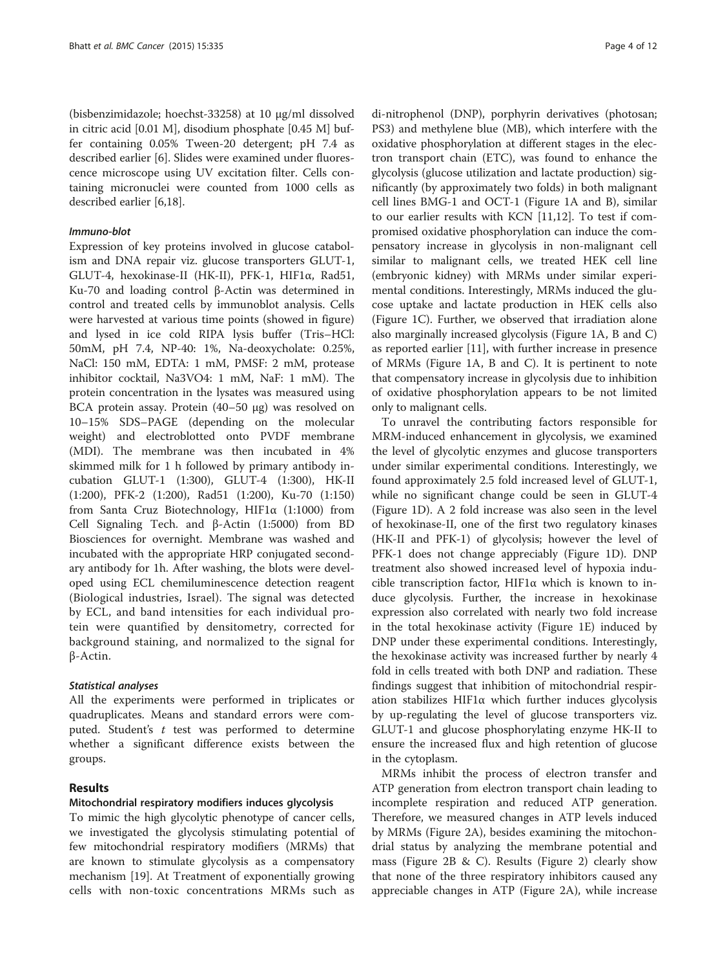(bisbenzimidazole; hoechst-33258) at 10 μg/ml dissolved in citric acid [0.01 M], disodium phosphate [0.45 M] buffer containing 0.05% Tween-20 detergent; pH 7.4 as described earlier [[6](#page-10-0)]. Slides were examined under fluorescence microscope using UV excitation filter. Cells containing micronuclei were counted from 1000 cells as described earlier [\[6,18](#page-10-0)].

## Immuno-blot

Expression of key proteins involved in glucose catabolism and DNA repair viz. glucose transporters GLUT-1, GLUT-4, hexokinase-II (HK-II), PFK-1, HIF1α, Rad51, Ku-70 and loading control β-Actin was determined in control and treated cells by immunoblot analysis. Cells were harvested at various time points (showed in figure) and lysed in ice cold RIPA lysis buffer (Tris–HCl: 50mM, pH 7.4, NP-40: 1%, Na-deoxycholate: 0.25%, NaCl: 150 mM, EDTA: 1 mM, PMSF: 2 mM, protease inhibitor cocktail, Na3VO4: 1 mM, NaF: 1 mM). The protein concentration in the lysates was measured using BCA protein assay. Protein (40–50 μg) was resolved on 10–15% SDS–PAGE (depending on the molecular weight) and electroblotted onto PVDF membrane (MDI). The membrane was then incubated in 4% skimmed milk for 1 h followed by primary antibody incubation GLUT-1 (1:300), GLUT-4 (1:300), HK-II (1:200), PFK-2 (1:200), Rad51 (1:200), Ku-70 (1:150) from Santa Cruz Biotechnology, HIF1α (1:1000) from Cell Signaling Tech. and β-Actin (1:5000) from BD Biosciences for overnight. Membrane was washed and incubated with the appropriate HRP conjugated secondary antibody for 1h. After washing, the blots were developed using ECL chemiluminescence detection reagent (Biological industries, Israel). The signal was detected by ECL, and band intensities for each individual protein were quantified by densitometry, corrected for background staining, and normalized to the signal for β-Actin.

## Statistical analyses

All the experiments were performed in triplicates or quadruplicates. Means and standard errors were computed. Student's t test was performed to determine whether a significant difference exists between the groups.

## Results

## Mitochondrial respiratory modifiers induces glycolysis

To mimic the high glycolytic phenotype of cancer cells, we investigated the glycolysis stimulating potential of few mitochondrial respiratory modifiers (MRMs) that are known to stimulate glycolysis as a compensatory mechanism [[19\]](#page-10-0). At Treatment of exponentially growing cells with non-toxic concentrations MRMs such as

di-nitrophenol (DNP), porphyrin derivatives (photosan; PS3) and methylene blue (MB), which interfere with the oxidative phosphorylation at different stages in the electron transport chain (ETC), was found to enhance the glycolysis (glucose utilization and lactate production) significantly (by approximately two folds) in both malignant cell lines BMG-1 and OCT-1 (Figure [1](#page-4-0)A and B), similar to our earlier results with KCN [[11](#page-10-0),[12](#page-10-0)]. To test if compromised oxidative phosphorylation can induce the compensatory increase in glycolysis in non-malignant cell similar to malignant cells, we treated HEK cell line (embryonic kidney) with MRMs under similar experimental conditions. Interestingly, MRMs induced the glucose uptake and lactate production in HEK cells also (Figure [1](#page-4-0)C). Further, we observed that irradiation alone also marginally increased glycolysis (Figure [1](#page-4-0)A, B and C) as reported earlier [[11](#page-10-0)], with further increase in presence of MRMs (Figure [1A](#page-4-0), B and C). It is pertinent to note that compensatory increase in glycolysis due to inhibition of oxidative phosphorylation appears to be not limited only to malignant cells.

To unravel the contributing factors responsible for MRM-induced enhancement in glycolysis, we examined the level of glycolytic enzymes and glucose transporters under similar experimental conditions. Interestingly, we found approximately 2.5 fold increased level of GLUT-1, while no significant change could be seen in GLUT-4 (Figure [1](#page-4-0)D). A 2 fold increase was also seen in the level of hexokinase-II, one of the first two regulatory kinases (HK-II and PFK-1) of glycolysis; however the level of PFK-1 does not change appreciably (Figure [1D](#page-4-0)). DNP treatment also showed increased level of hypoxia inducible transcription factor, HIF1α which is known to induce glycolysis. Further, the increase in hexokinase expression also correlated with nearly two fold increase in the total hexokinase activity (Figure [1E](#page-4-0)) induced by DNP under these experimental conditions. Interestingly, the hexokinase activity was increased further by nearly 4 fold in cells treated with both DNP and radiation. These findings suggest that inhibition of mitochondrial respiration stabilizes HIF1α which further induces glycolysis by up-regulating the level of glucose transporters viz. GLUT-1 and glucose phosphorylating enzyme HK-II to ensure the increased flux and high retention of glucose in the cytoplasm.

MRMs inhibit the process of electron transfer and ATP generation from electron transport chain leading to incomplete respiration and reduced ATP generation. Therefore, we measured changes in ATP levels induced by MRMs (Figure [2A](#page-5-0)), besides examining the mitochondrial status by analyzing the membrane potential and mass (Figure [2B](#page-5-0) & C). Results (Figure [2\)](#page-5-0) clearly show that none of the three respiratory inhibitors caused any appreciable changes in ATP (Figure [2A](#page-5-0)), while increase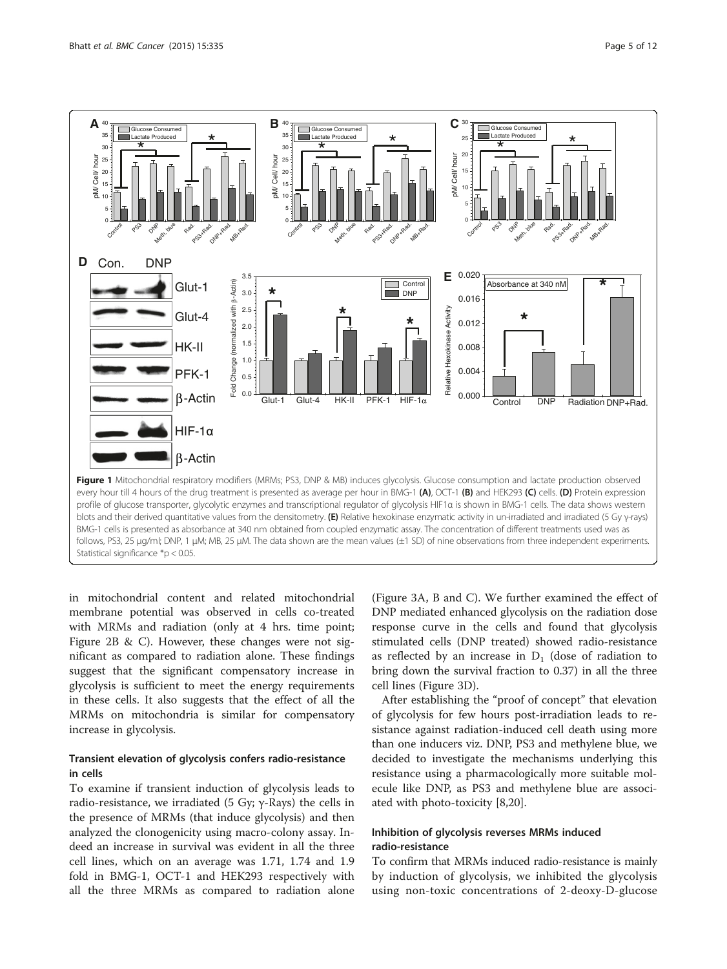<span id="page-4-0"></span>

in mitochondrial content and related mitochondrial membrane potential was observed in cells co-treated with MRMs and radiation (only at 4 hrs. time point; Figure [2B](#page-5-0) & C). However, these changes were not significant as compared to radiation alone. These findings suggest that the significant compensatory increase in glycolysis is sufficient to meet the energy requirements in these cells. It also suggests that the effect of all the MRMs on mitochondria is similar for compensatory increase in glycolysis.

## Transient elevation of glycolysis confers radio-resistance in cells

To examine if transient induction of glycolysis leads to radio-resistance, we irradiated (5 Gy; γ-Rays) the cells in the presence of MRMs (that induce glycolysis) and then analyzed the clonogenicity using macro-colony assay. Indeed an increase in survival was evident in all the three cell lines, which on an average was 1.71, 1.74 and 1.9 fold in BMG-1, OCT-1 and HEK293 respectively with all the three MRMs as compared to radiation alone (Figure [3A](#page-6-0), B and C). We further examined the effect of DNP mediated enhanced glycolysis on the radiation dose response curve in the cells and found that glycolysis stimulated cells (DNP treated) showed radio-resistance as reflected by an increase in  $D_1$  (dose of radiation to bring down the survival fraction to 0.37) in all the three cell lines (Figure [3D](#page-6-0)).

After establishing the "proof of concept" that elevation of glycolysis for few hours post-irradiation leads to resistance against radiation-induced cell death using more than one inducers viz. DNP, PS3 and methylene blue, we decided to investigate the mechanisms underlying this resistance using a pharmacologically more suitable molecule like DNP, as PS3 and methylene blue are associated with photo-toxicity [\[8](#page-10-0),[20](#page-10-0)].

## Inhibition of glycolysis reverses MRMs induced radio-resistance

To confirm that MRMs induced radio-resistance is mainly by induction of glycolysis, we inhibited the glycolysis using non-toxic concentrations of 2-deoxy-D-glucose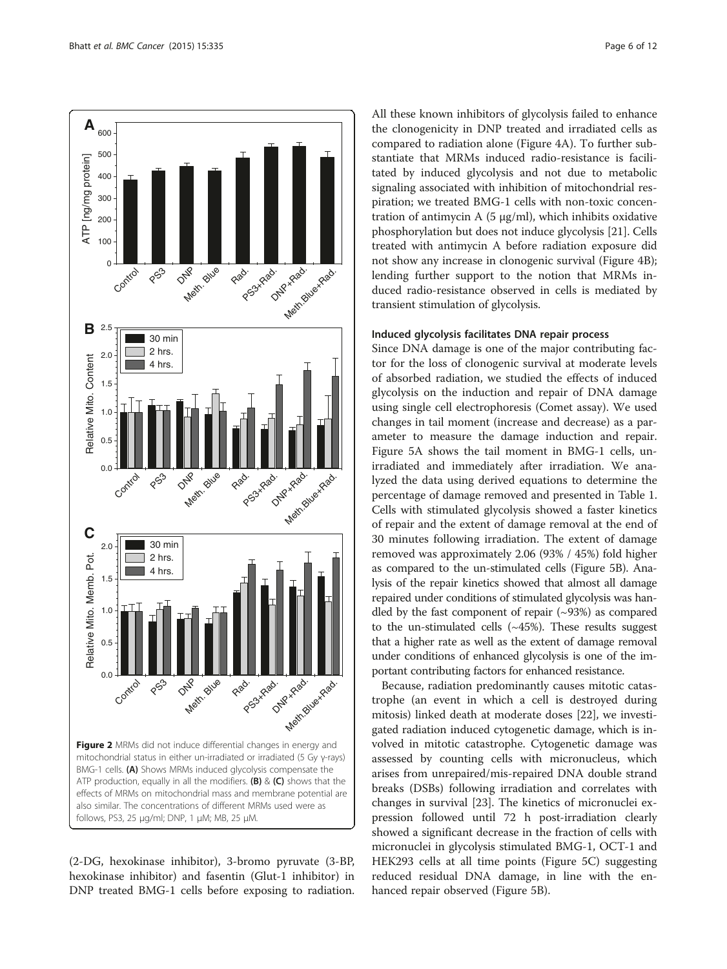<span id="page-5-0"></span>

(2-DG, hexokinase inhibitor), 3-bromo pyruvate (3-BP, hexokinase inhibitor) and fasentin (Glut-1 inhibitor) in DNP treated BMG-1 cells before exposing to radiation. All these known inhibitors of glycolysis failed to enhance the clonogenicity in DNP treated and irradiated cells as compared to radiation alone (Figure [4A](#page-7-0)). To further substantiate that MRMs induced radio-resistance is facilitated by induced glycolysis and not due to metabolic signaling associated with inhibition of mitochondrial respiration; we treated BMG-1 cells with non-toxic concentration of antimycin A (5 μg/ml), which inhibits oxidative phosphorylation but does not induce glycolysis [[21\]](#page-10-0). Cells treated with antimycin A before radiation exposure did not show any increase in clonogenic survival (Figure [4](#page-7-0)B); lending further support to the notion that MRMs induced radio-resistance observed in cells is mediated by transient stimulation of glycolysis.

#### Induced glycolysis facilitates DNA repair process

Since DNA damage is one of the major contributing factor for the loss of clonogenic survival at moderate levels of absorbed radiation, we studied the effects of induced glycolysis on the induction and repair of DNA damage using single cell electrophoresis (Comet assay). We used changes in tail moment (increase and decrease) as a parameter to measure the damage induction and repair. Figure [5A](#page-8-0) shows the tail moment in BMG-1 cells, unirradiated and immediately after irradiation. We analyzed the data using derived equations to determine the percentage of damage removed and presented in Table [1](#page-9-0). Cells with stimulated glycolysis showed a faster kinetics of repair and the extent of damage removal at the end of 30 minutes following irradiation. The extent of damage removed was approximately 2.06 (93% / 45%) fold higher as compared to the un-stimulated cells (Figure [5](#page-8-0)B). Analysis of the repair kinetics showed that almost all damage repaired under conditions of stimulated glycolysis was handled by the fast component of repair  $(\sim)3\%$  as compared to the un-stimulated cells  $(-45%)$ . These results suggest that a higher rate as well as the extent of damage removal under conditions of enhanced glycolysis is one of the important contributing factors for enhanced resistance.

Because, radiation predominantly causes mitotic catastrophe (an event in which a cell is destroyed during mitosis) linked death at moderate doses [[22\]](#page-10-0), we investigated radiation induced cytogenetic damage, which is involved in mitotic catastrophe. Cytogenetic damage was assessed by counting cells with micronucleus, which arises from unrepaired/mis-repaired DNA double strand breaks (DSBs) following irradiation and correlates with changes in survival [[23\]](#page-10-0). The kinetics of micronuclei expression followed until 72 h post-irradiation clearly showed a significant decrease in the fraction of cells with micronuclei in glycolysis stimulated BMG-1, OCT-1 and HEK293 cells at all time points (Figure [5C](#page-8-0)) suggesting reduced residual DNA damage, in line with the enhanced repair observed (Figure [5B](#page-8-0)).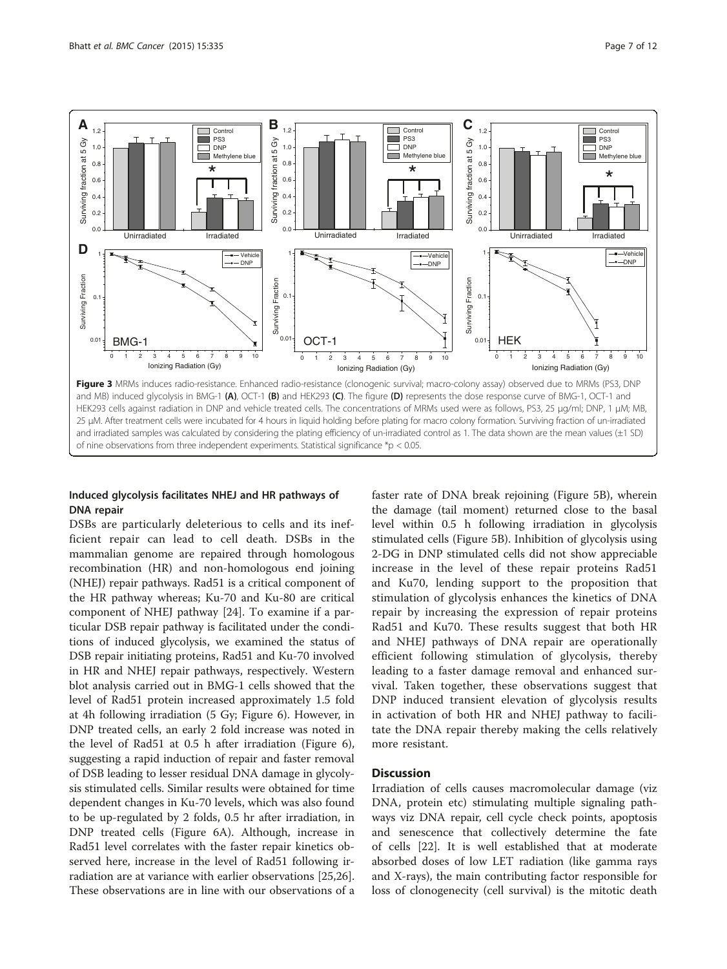<span id="page-6-0"></span>

and irradiated samples was calculated by considering the plating efficiency of un-irradiated control as 1. The data shown are the mean values (±1 SD) of nine observations from three independent experiments. Statistical significance \*p < 0.05.

## Induced glycolysis facilitates NHEJ and HR pathways of DNA repair

DSBs are particularly deleterious to cells and its inefficient repair can lead to cell death. DSBs in the mammalian genome are repaired through homologous recombination (HR) and non-homologous end joining (NHEJ) repair pathways. Rad51 is a critical component of the HR pathway whereas; Ku-70 and Ku-80 are critical component of NHEJ pathway [[24](#page-10-0)]. To examine if a particular DSB repair pathway is facilitated under the conditions of induced glycolysis, we examined the status of DSB repair initiating proteins, Rad51 and Ku-70 involved in HR and NHEJ repair pathways, respectively. Western blot analysis carried out in BMG-1 cells showed that the level of Rad51 protein increased approximately 1.5 fold at 4h following irradiation (5 Gy; Figure [6](#page-9-0)). However, in DNP treated cells, an early 2 fold increase was noted in the level of Rad51 at 0.5 h after irradiation (Figure [6](#page-9-0)), suggesting a rapid induction of repair and faster removal of DSB leading to lesser residual DNA damage in glycolysis stimulated cells. Similar results were obtained for time dependent changes in Ku-70 levels, which was also found to be up-regulated by 2 folds, 0.5 hr after irradiation, in DNP treated cells (Figure [6A](#page-9-0)). Although, increase in Rad51 level correlates with the faster repair kinetics observed here, increase in the level of Rad51 following irradiation are at variance with earlier observations [[25,26](#page-10-0)]. These observations are in line with our observations of a

faster rate of DNA break rejoining (Figure [5](#page-8-0)B), wherein the damage (tail moment) returned close to the basal level within 0.5 h following irradiation in glycolysis stimulated cells (Figure [5B](#page-8-0)). Inhibition of glycolysis using 2-DG in DNP stimulated cells did not show appreciable increase in the level of these repair proteins Rad51 and Ku70, lending support to the proposition that stimulation of glycolysis enhances the kinetics of DNA repair by increasing the expression of repair proteins Rad51 and Ku70. These results suggest that both HR and NHEJ pathways of DNA repair are operationally efficient following stimulation of glycolysis, thereby leading to a faster damage removal and enhanced survival. Taken together, these observations suggest that DNP induced transient elevation of glycolysis results in activation of both HR and NHEJ pathway to facilitate the DNA repair thereby making the cells relatively more resistant.

## **Discussion**

Irradiation of cells causes macromolecular damage (viz DNA, protein etc) stimulating multiple signaling pathways viz DNA repair, cell cycle check points, apoptosis and senescence that collectively determine the fate of cells [[22](#page-10-0)]. It is well established that at moderate absorbed doses of low LET radiation (like gamma rays and X-rays), the main contributing factor responsible for loss of clonogenecity (cell survival) is the mitotic death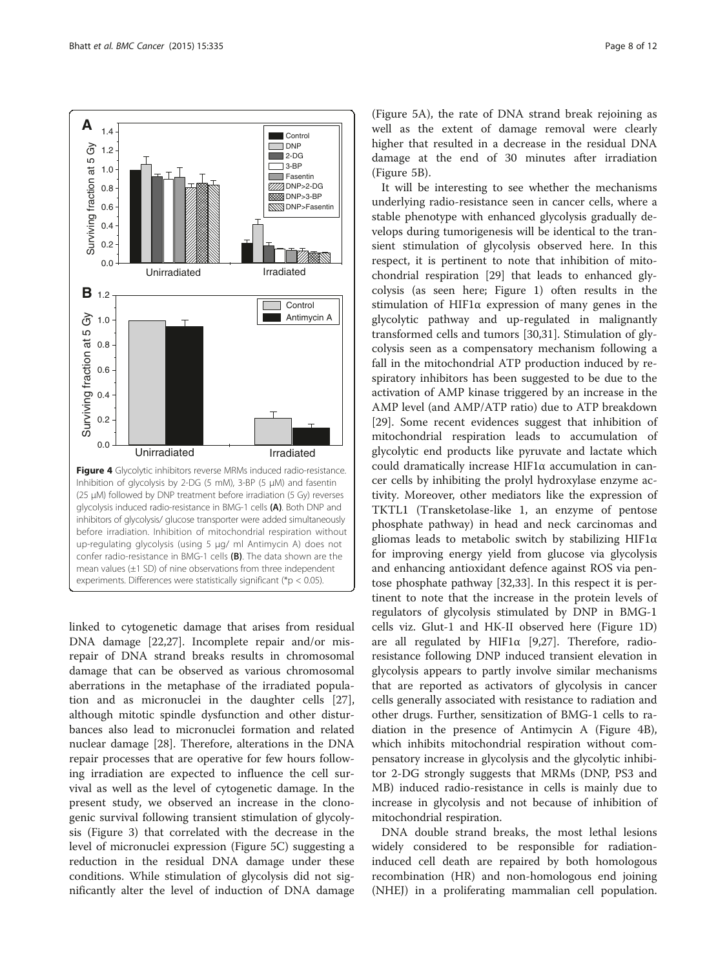<span id="page-7-0"></span>

linked to cytogenetic damage that arises from residual DNA damage [\[22,27](#page-10-0)]. Incomplete repair and/or misrepair of DNA strand breaks results in chromosomal damage that can be observed as various chromosomal aberrations in the metaphase of the irradiated population and as micronuclei in the daughter cells [\[27](#page-10-0)], although mitotic spindle dysfunction and other disturbances also lead to micronuclei formation and related nuclear damage [[28\]](#page-10-0). Therefore, alterations in the DNA repair processes that are operative for few hours following irradiation are expected to influence the cell survival as well as the level of cytogenetic damage. In the present study, we observed an increase in the clonogenic survival following transient stimulation of glycolysis (Figure [3](#page-6-0)) that correlated with the decrease in the level of micronuclei expression (Figure [5C](#page-8-0)) suggesting a reduction in the residual DNA damage under these conditions. While stimulation of glycolysis did not significantly alter the level of induction of DNA damage

(Figure [5A](#page-8-0)), the rate of DNA strand break rejoining as well as the extent of damage removal were clearly higher that resulted in a decrease in the residual DNA damage at the end of 30 minutes after irradiation (Figure [5](#page-8-0)B).

It will be interesting to see whether the mechanisms underlying radio-resistance seen in cancer cells, where a stable phenotype with enhanced glycolysis gradually develops during tumorigenesis will be identical to the transient stimulation of glycolysis observed here. In this respect, it is pertinent to note that inhibition of mitochondrial respiration [[29\]](#page-10-0) that leads to enhanced glycolysis (as seen here; Figure [1](#page-4-0)) often results in the stimulation of HIF1α expression of many genes in the glycolytic pathway and up-regulated in malignantly transformed cells and tumors [[30,31\]](#page-10-0). Stimulation of glycolysis seen as a compensatory mechanism following a fall in the mitochondrial ATP production induced by respiratory inhibitors has been suggested to be due to the activation of AMP kinase triggered by an increase in the AMP level (and AMP/ATP ratio) due to ATP breakdown [[29\]](#page-10-0). Some recent evidences suggest that inhibition of mitochondrial respiration leads to accumulation of glycolytic end products like pyruvate and lactate which could dramatically increase HIF1α accumulation in cancer cells by inhibiting the prolyl hydroxylase enzyme activity. Moreover, other mediators like the expression of TKTL1 (Transketolase-like 1, an enzyme of pentose phosphate pathway) in head and neck carcinomas and gliomas leads to metabolic switch by stabilizing  $HIF1\alpha$ for improving energy yield from glucose via glycolysis and enhancing antioxidant defence against ROS via pentose phosphate pathway [\[32,33\]](#page-10-0). In this respect it is pertinent to note that the increase in the protein levels of regulators of glycolysis stimulated by DNP in BMG-1 cells viz. Glut-1 and HK-II observed here (Figure [1](#page-4-0)D) are all regulated by HIF1 $\alpha$  [\[9,27](#page-10-0)]. Therefore, radioresistance following DNP induced transient elevation in glycolysis appears to partly involve similar mechanisms that are reported as activators of glycolysis in cancer cells generally associated with resistance to radiation and other drugs. Further, sensitization of BMG-1 cells to radiation in the presence of Antimycin A (Figure 4B), which inhibits mitochondrial respiration without compensatory increase in glycolysis and the glycolytic inhibitor 2-DG strongly suggests that MRMs (DNP, PS3 and MB) induced radio-resistance in cells is mainly due to increase in glycolysis and not because of inhibition of mitochondrial respiration.

DNA double strand breaks, the most lethal lesions widely considered to be responsible for radiationinduced cell death are repaired by both homologous recombination (HR) and non-homologous end joining (NHEJ) in a proliferating mammalian cell population.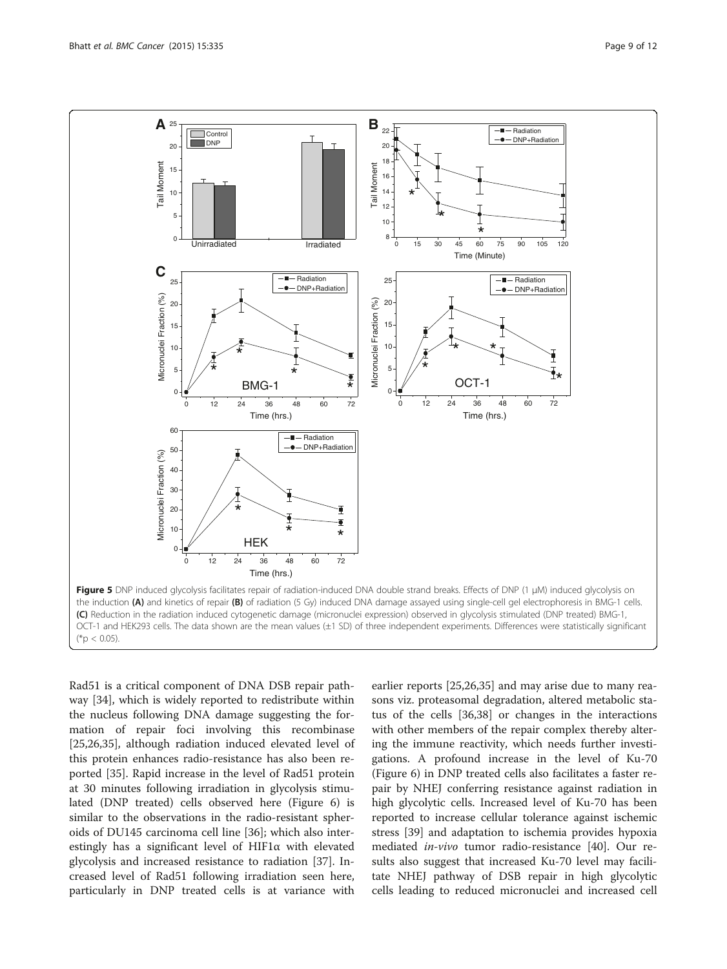<span id="page-8-0"></span>

Rad51 is a critical component of DNA DSB repair pathway [[34\]](#page-10-0), which is widely reported to redistribute within the nucleus following DNA damage suggesting the formation of repair foci involving this recombinase [[25,26,35\]](#page-10-0), although radiation induced elevated level of this protein enhances radio-resistance has also been reported [[35\]](#page-10-0). Rapid increase in the level of Rad51 protein at 30 minutes following irradiation in glycolysis stimulated (DNP treated) cells observed here (Figure [6\)](#page-9-0) is similar to the observations in the radio-resistant spheroids of DU145 carcinoma cell line [\[36](#page-10-0)]; which also interestingly has a significant level of HIF1α with elevated glycolysis and increased resistance to radiation [\[37](#page-11-0)]. Increased level of Rad51 following irradiation seen here, particularly in DNP treated cells is at variance with earlier reports [[25](#page-10-0),[26](#page-10-0),[35](#page-10-0)] and may arise due to many reasons viz. proteasomal degradation, altered metabolic status of the cells [[36,](#page-10-0)[38](#page-11-0)] or changes in the interactions with other members of the repair complex thereby altering the immune reactivity, which needs further investigations. A profound increase in the level of Ku-70 (Figure [6\)](#page-9-0) in DNP treated cells also facilitates a faster repair by NHEJ conferring resistance against radiation in high glycolytic cells. Increased level of Ku-70 has been reported to increase cellular tolerance against ischemic stress [\[39](#page-11-0)] and adaptation to ischemia provides hypoxia mediated in-vivo tumor radio-resistance [\[40](#page-11-0)]. Our results also suggest that increased Ku-70 level may facilitate NHEJ pathway of DSB repair in high glycolytic cells leading to reduced micronuclei and increased cell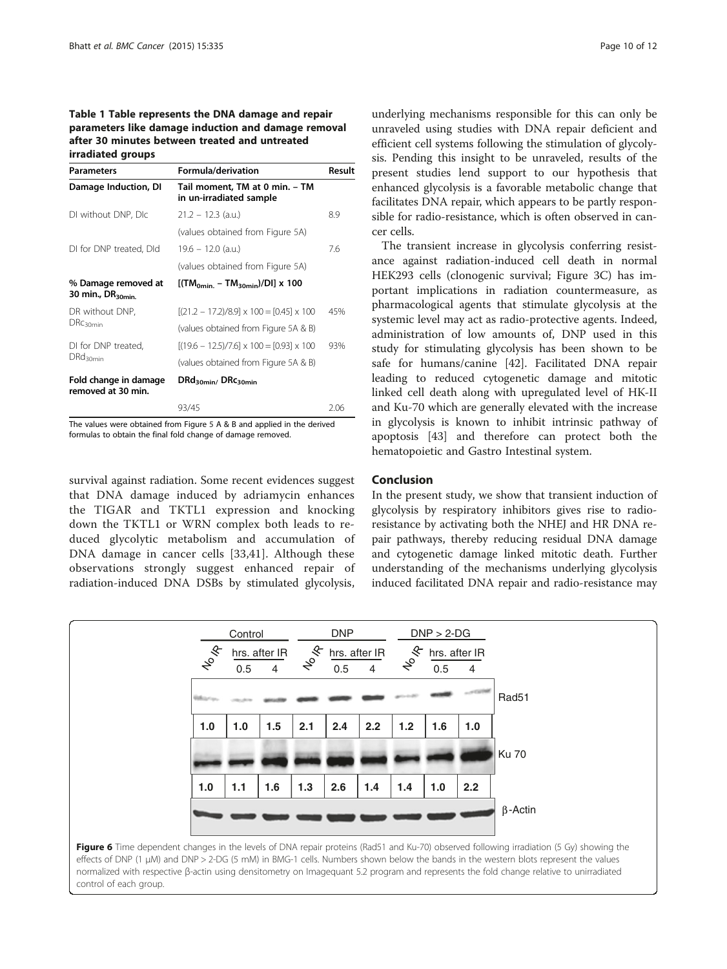## <span id="page-9-0"></span>Table 1 Table represents the DNA damage and repair parameters like damage induction and damage removal after 30 minutes between treated and untreated irradiated groups

| <b>Parameters</b>                                   | Formula/derivation                                        | Result |
|-----------------------------------------------------|-----------------------------------------------------------|--------|
| Damage Induction, DI                                | Tail moment, TM at 0 min. - TM<br>in un-irradiated sample |        |
| DI without DNP, DIc                                 | $21.2 - 12.3$ (a.u.)                                      | 8.9    |
|                                                     | (values obtained from Figure 5A)                          |        |
| DI for DNP treated, DId                             | $19.6 - 12.0$ (a.u.)                                      | 7.6    |
|                                                     | (values obtained from Figure 5A)                          |        |
| % Damage removed at<br>30 min., DR <sub>30min</sub> | $[(TM_{\text{omin}} - TM_{\text{30min}})/DI] \times 100$  |        |
| DR without DNP,<br>DRC <sub>30min</sub>             | $[(21.2 - 17.2)/8.9] \times 100 = [0.45] \times 100$      | 45%    |
|                                                     | (values obtained from Figure 5A & B)                      |        |
| DI for DNP treated,<br>DRd <sub>30min</sub>         | $[(19.6 - 12.5)/7.6] \times 100 = [0.93] \times 100$      | 93%    |
|                                                     | (values obtained from Figure 5A & B)                      |        |
| Fold change in damage<br>removed at 30 min.         | $DRd_{30min}$ $DRc_{30min}$                               |        |
|                                                     | 93/45                                                     | 2.06   |

The values were obtained from Figure [5](#page-8-0) A & B and applied in the derived formulas to obtain the final fold change of damage removed.

survival against radiation. Some recent evidences suggest that DNA damage induced by adriamycin enhances the TIGAR and TKTL1 expression and knocking down the TKTL1 or WRN complex both leads to reduced glycolytic metabolism and accumulation of DNA damage in cancer cells [[33,](#page-10-0)[41](#page-11-0)]. Although these observations strongly suggest enhanced repair of radiation-induced DNA DSBs by stimulated glycolysis,

underlying mechanisms responsible for this can only be unraveled using studies with DNA repair deficient and efficient cell systems following the stimulation of glycolysis. Pending this insight to be unraveled, results of the present studies lend support to our hypothesis that enhanced glycolysis is a favorable metabolic change that facilitates DNA repair, which appears to be partly responsible for radio-resistance, which is often observed in cancer cells.

The transient increase in glycolysis conferring resistance against radiation-induced cell death in normal HEK293 cells (clonogenic survival; Figure [3](#page-6-0)C) has important implications in radiation countermeasure, as pharmacological agents that stimulate glycolysis at the systemic level may act as radio-protective agents. Indeed, administration of low amounts of, DNP used in this study for stimulating glycolysis has been shown to be safe for humans/canine [[42\]](#page-11-0). Facilitated DNA repair leading to reduced cytogenetic damage and mitotic linked cell death along with upregulated level of HK-II and Ku-70 which are generally elevated with the increase in glycolysis is known to inhibit intrinsic pathway of apoptosis [[43\]](#page-11-0) and therefore can protect both the hematopoietic and Gastro Intestinal system.

## Conclusion

In the present study, we show that transient induction of glycolysis by respiratory inhibitors gives rise to radioresistance by activating both the NHEJ and HR DNA repair pathways, thereby reducing residual DNA damage and cytogenetic damage linked mitotic death. Further understanding of the mechanisms underlying glycolysis induced facilitated DNA repair and radio-resistance may



control of each group.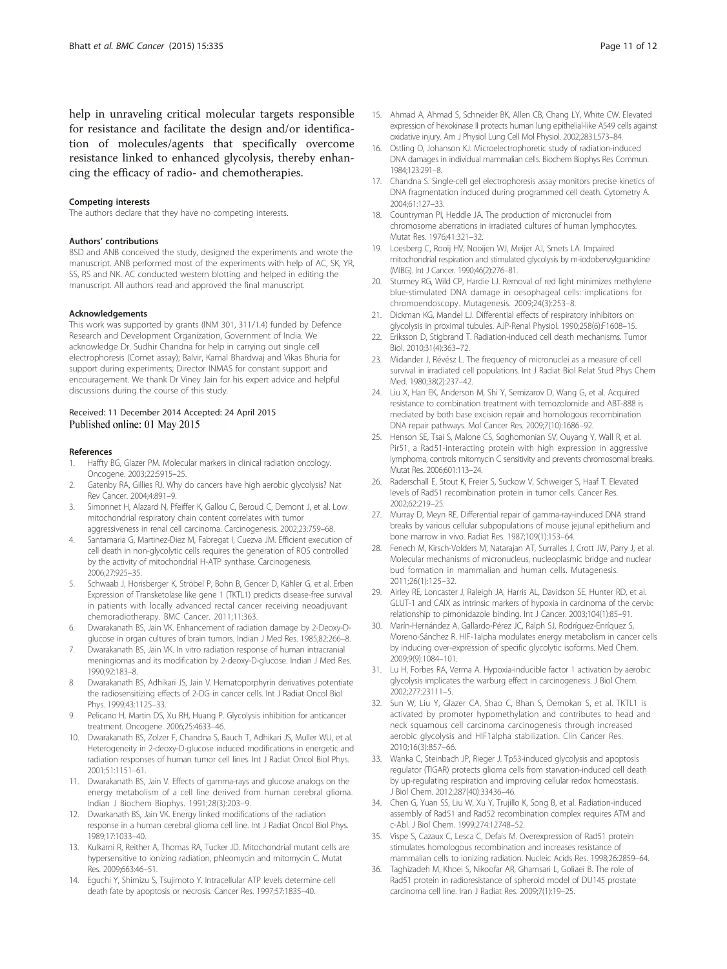<span id="page-10-0"></span>help in unraveling critical molecular targets responsible for resistance and facilitate the design and/or identification of molecules/agents that specifically overcome resistance linked to enhanced glycolysis, thereby enhancing the efficacy of radio- and chemotherapies.

#### Competing interests

The authors declare that they have no competing interests.

#### Authors' contributions

BSD and ANB conceived the study, designed the experiments and wrote the manuscript. ANB performed most of the experiments with help of AC, SK, YR, SS, RS and NK. AC conducted western blotting and helped in editing the manuscript. All authors read and approved the final manuscript.

#### Acknowledgements

This work was supported by grants (INM 301, 311/1.4) funded by Defence Research and Development Organization, Government of India. We acknowledge Dr. Sudhir Chandna for help in carrying out single cell electrophoresis (Comet assay); Balvir, Kamal Bhardwaj and Vikas Bhuria for support during experiments; Director INMAS for constant support and encouragement. We thank Dr Viney Jain for his expert advice and helpful discussions during the course of this study.

#### Received: 11 December 2014 Accepted: 24 April 2015 Published online: 01 May 2015

#### References

- 1. Haffty BG, Glazer PM. Molecular markers in clinical radiation oncology. Oncogene. 2003;22:5915–25.
- 2. Gatenby RA, Gillies RJ. Why do cancers have high aerobic glycolysis? Nat Rev Cancer. 2004;4:891–9.
- 3. Simonnet H, Alazard N, Pfeiffer K, Gallou C, Beroud C, Demont J, et al. Low mitochondrial respiratory chain content correlates with tumor aggressiveness in renal cell carcinoma. Carcinogenesis. 2002;23:759–68.
- 4. Santamaria G, Martinez-Diez M, Fabregat I, Cuezva JM. Efficient execution of cell death in non-glycolytic cells requires the generation of ROS controlled by the activity of mitochondrial H-ATP synthase. Carcinogenesis. 2006;27:925–35.
- 5. Schwaab J, Horisberger K, Ströbel P, Bohn B, Gencer D, Kähler G, et al. Erben Expression of Transketolase like gene 1 (TKTL1) predicts disease-free survival in patients with locally advanced rectal cancer receiving neoadjuvant chemoradiotherapy. BMC Cancer. 2011;11:363.
- 6. Dwarakanath BS, Jain VK. Enhancement of radiation damage by 2-Deoxy-Dglucose in organ cultures of brain tumors. Indian J Med Res. 1985;82:266–8.
- 7. Dwarakanath BS, Jain VK. In vitro radiation response of human intracranial meningiomas and its modification by 2-deoxy-D-glucose. Indian J Med Res. 1990;92:183–8.
- 8. Dwarakanath BS, Adhikari JS, Jain V. Hematoporphyrin derivatives potentiate the radiosensitizing effects of 2-DG in cancer cells. Int J Radiat Oncol Biol Phys. 1999;43:1125–33.
- Pelicano H, Martin DS, Xu RH, Huang P. Glycolysis inhibition for anticancer treatment. Oncogene. 2006;25:4633–46.
- 10. Dwarakanath BS, Zolzer F, Chandna S, Bauch T, Adhikari JS, Muller WU, et al. Heterogeneity in 2-deoxy-D-glucose induced modifications in energetic and radiation responses of human tumor cell lines. Int J Radiat Oncol Biol Phys. 2001;51:1151–61.
- 11. Dwarakanath BS, Jain V. Effects of gamma-rays and glucose analogs on the energy metabolism of a cell line derived from human cerebral glioma. Indian J Biochem Biophys. 1991;28(3):203–9.
- 12. Dwarkanath BS, Jain VK. Energy linked modifications of the radiation response in a human cerebral glioma cell line. Int J Radiat Oncol Biol Phys. 1989;17:1033–40.
- 13. Kulkarni R, Reither A, Thomas RA, Tucker JD. Mitochondrial mutant cells are hypersensitive to ionizing radiation, phleomycin and mitomycin C. Mutat Res. 2009;663:46–51.
- 14. Eguchi Y, Shimizu S, Tsujimoto Y. Intracellular ATP levels determine cell death fate by apoptosis or necrosis. Cancer Res. 1997;57:1835–40.
- 15. Ahmad A, Ahmad S, Schneider BK, Allen CB, Chang LY, White CW. Elevated expression of hexokinase II protects human lung epithelial-like A549 cells against oxidative injury. Am J Physiol Lung Cell Mol Physiol. 2002;283:L573–84.
- 16. Ostling O, Johanson KJ. Microelectrophoretic study of radiation-induced DNA damages in individual mammalian cells. Biochem Biophys Res Commun. 1984;123:291–8.
- 17. Chandna S. Single-cell gel electrophoresis assay monitors precise kinetics of DNA fragmentation induced during programmed cell death. Cytometry A. 2004;61:127–33.
- 18. Countryman PI, Heddle JA. The production of micronuclei from chromosome aberrations in irradiated cultures of human lymphocytes. Mutat Res. 1976;41:321–32.
- 19. Loesberg C, Rooij HV, Nooijen WJ, Meijer AJ, Smets LA. Impaired mitochondrial respiration and stimulated glycolysis by m-iodobenzylguanidine (MIBG). Int J Cancer. 1990;46(2):276–81.
- 20. Sturmey RG, Wild CP, Hardie LJ. Removal of red light minimizes methylene blue-stimulated DNA damage in oesophageal cells: implications for chromoendoscopy. Mutagenesis. 2009;24(3):253–8.
- 21. Dickman KG, Mandel LJ. Differential effects of respiratory inhibitors on glycolysis in proximal tubules. AJP-Renal Physiol. 1990;258(6):F1608–15.
- 22. Eriksson D, Stigbrand T. Radiation-induced cell death mechanisms. Tumor Biol. 2010;31(4):363–72.
- 23. Midander J, Révész L. The frequency of micronuclei as a measure of cell survival in irradiated cell populations. Int J Radiat Biol Relat Stud Phys Chem Med. 1980;38(2):237–42.
- 24. Liu X, Han EK, Anderson M, Shi Y, Semizarov D, Wang G, et al. Acquired resistance to combination treatment with temozolomide and ABT-888 is mediated by both base excision repair and homologous recombination DNA repair pathways. Mol Cancer Res. 2009;7(10):1686–92.
- 25. Henson SE, Tsai S, Malone CS, Soghomonian SV, Ouyang Y, Wall R, et al. Pir51, a Rad51-interacting protein with high expression in aggressive lymphoma, controls mitomycin C sensitivity and prevents chromosomal breaks. Mutat Res. 2006;601:113–24.
- 26. Raderschall E, Stout K, Freier S, Suckow V, Schweiger S, Haaf T. Elevated levels of Rad51 recombination protein in tumor cells. Cancer Res. 2002;62:219–25.
- 27. Murray D, Meyn RE. Differential repair of gamma-ray-induced DNA strand breaks by various cellular subpopulations of mouse jejunal epithelium and bone marrow in vivo. Radiat Res. 1987;109(1):153–64.
- 28. Fenech M, Kirsch-Volders M, Natarajan AT, Surralles J, Crott JW, Parry J, et al. Molecular mechanisms of micronucleus, nucleoplasmic bridge and nuclear bud formation in mammalian and human cells. Mutagenesis. 2011;26(1):125–32.
- 29. Airley RE, Loncaster J, Raleigh JA, Harris AL, Davidson SE, Hunter RD, et al. GLUT-1 and CAIX as intrinsic markers of hypoxia in carcinoma of the cervix: relationship to pimonidazole binding. Int J Cancer. 2003;104(1):85–91.
- 30. Marín-Hernández A, Gallardo-Pérez JC, Ralph SJ, Rodríguez-Enríquez S, Moreno-Sánchez R. HIF-1alpha modulates energy metabolism in cancer cells by inducing over-expression of specific glycolytic isoforms. Med Chem. 2009;9(9):1084–101.
- 31. Lu H, Forbes RA, Verma A. Hypoxia-inducible factor 1 activation by aerobic glycolysis implicates the warburg effect in carcinogenesis. J Biol Chem. 2002;277:23111–5.
- 32. Sun W, Liu Y, Glazer CA, Shao C, Bhan S, Demokan S, et al. TKTL1 is activated by promoter hypomethylation and contributes to head and neck squamous cell carcinoma carcinogenesis through increased aerobic glycolysis and HIF1alpha stabilization. Clin Cancer Res. 2010;16(3):857–66.
- 33. Wanka C, Steinbach JP, Rieger J. Tp53-induced glycolysis and apoptosis regulator (TIGAR) protects glioma cells from starvation-induced cell death by up-regulating respiration and improving cellular redox homeostasis. J Biol Chem. 2012;287(40):33436–46.
- 34. Chen G, Yuan SS, Liu W, Xu Y, Trujillo K, Song B, et al. Radiation-induced assembly of Rad51 and Rad52 recombination complex requires ATM and c-Abl. J Biol Chem. 1999;274:12748–52.
- 35. Vispe S, Cazaux C, Lesca C, Defais M. Overexpression of Rad51 protein stimulates homologous recombination and increases resistance of mammalian cells to ionizing radiation. Nucleic Acids Res. 1998;26:2859–64.
- 36. Taghizadeh M, Khoei S, Nikoofar AR, Ghamsari L, Goliaei B. The role of Rad51 protein in radioresistance of spheroid model of DU145 prostate carcinoma cell line. Iran J Radiat Res. 2009;7(1):19–25.